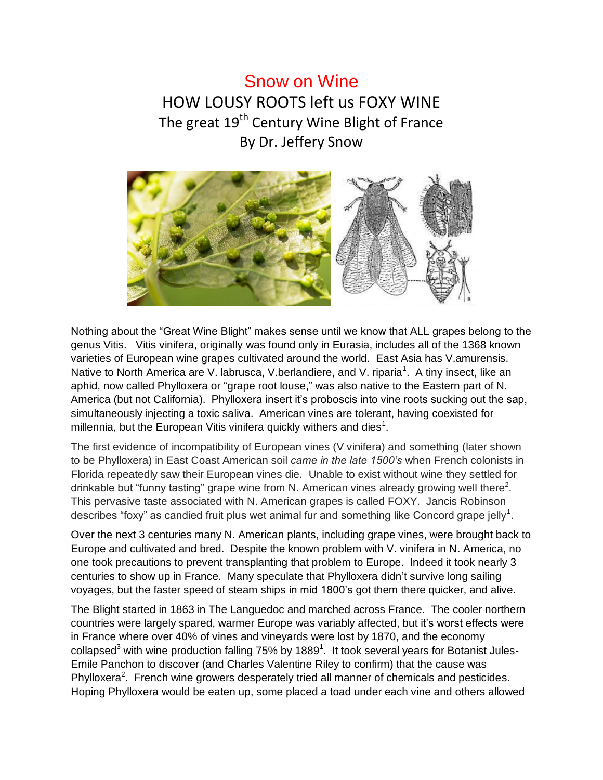## Snow on Wine HOW LOUSY ROOTS left us FOXY WINE The great 19<sup>th</sup> Century Wine Blight of France By Dr. Jeffery Snow



Nothing about the "Great Wine Blight" makes sense until we know that ALL grapes belong to the genus Vitis. Vitis vinifera, originally was found only in Eurasia, includes all of the 1368 known varieties of European wine grapes cultivated around the world. East Asia has V.amurensis. Native to North America are V. labrusca, V.berlandiere, and V. riparia<sup>1</sup>. A tiny insect, like an aphid, now called Phylloxera or "grape root louse," was also native to the Eastern part of N. America (but not California). Phylloxera insert it's proboscis into vine roots sucking out the sap, simultaneously injecting a toxic saliva. American vines are tolerant, having coexisted for millennia, but the European Vitis vinifera quickly withers and dies<sup>1</sup>.

The first evidence of incompatibility of European vines (V vinifera) and something (later shown to be Phylloxera) in East Coast American soil *came in the late 1500's* when French colonists in Florida repeatedly saw their European vines die. Unable to exist without wine they settled for drinkable but "funny tasting" grape wine from N. American vines already growing well there<sup>2</sup>. This pervasive taste associated with N. American grapes is called FOXY. Jancis Robinson describes "foxy" as candied fruit plus wet animal fur and something like Concord grape jelly $^{\rm 1}.$ 

Over the next 3 centuries many N. American plants, including grape vines, were brought back to Europe and cultivated and bred. Despite the known problem with V. vinifera in N. America, no one took precautions to prevent transplanting that problem to Europe. Indeed it took nearly 3 centuries to show up in France. Many speculate that Phylloxera didn't survive long sailing voyages, but the faster speed of steam ships in mid 1800's got them there quicker, and alive.

The Blight started in 1863 in The Languedoc and marched across France. The cooler northern countries were largely spared, warmer Europe was variably affected, but it's worst effects were in France where over 40% of vines and vineyards were lost by 1870, and the economy collapsed<sup>3</sup> with wine production falling 75% by 1889<sup>1</sup>. It took several years for Botanist Jules-Emile Panchon to discover (and Charles Valentine Riley to confirm) that the cause was Phylloxera<sup>2</sup>. French wine growers desperately tried all manner of chemicals and pesticides. Hoping Phylloxera would be eaten up, some placed a toad under each vine and others allowed